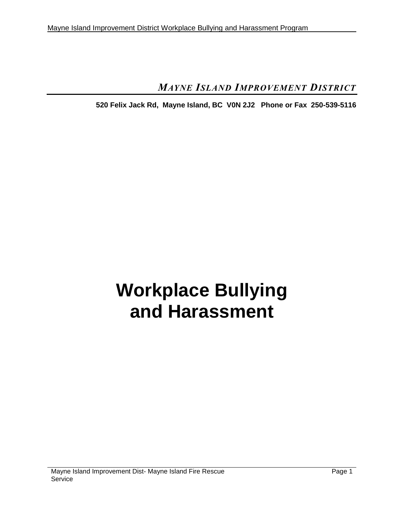*MAYNE ISLAND IMPROVEMENT DISTRICT*

**520 Felix Jack Rd, Mayne Island, BC V0N 2J2 Phone or Fax 250-539-5116** 

# **Workplace Bullying and Harassment**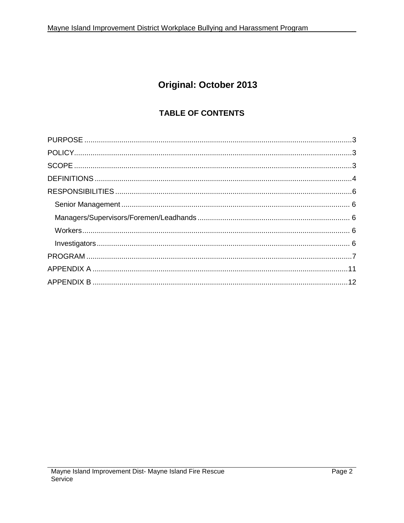# **Original: October 2013**

## **TABLE OF CONTENTS**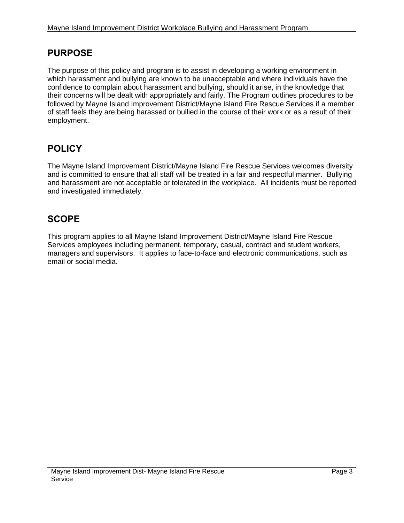## **PURPOSE**

The purpose of this policy and program is to assist in developing a working environment in which harassment and bullying are known to be unacceptable and where individuals have the confidence to complain about harassment and bullying, should it arise, in the knowledge that their concerns will be dealt with appropriately and fairly. The Program outlines procedures to be followed by Mayne Island Improvement District/Mayne Island Fire Rescue Services if a member of staff feels they are being harassed or bullied in the course of their work or as a result of their employment.

# **POLICY**

The Mayne Island Improvement District/Mayne Island Fire Rescue Services welcomes diversity and is committed to ensure that all staff will be treated in a fair and respectful manner. Bullying and harassment are not acceptable or tolerated in the workplace. All incidents must be reported and investigated immediately.

## **SCOPE**

This program applies to all Mayne Island Improvement District/Mayne Island Fire Rescue Services employees including permanent, temporary, casual, contract and student workers, managers and supervisors. It applies to face-to-face and electronic communications, such as email or social media.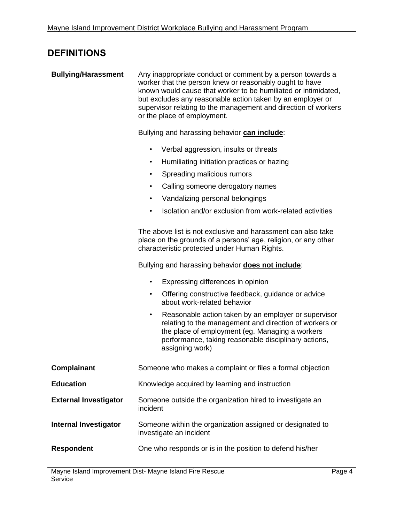## **DEFINITIONS**

| <b>Bullying/Harassment</b>   | Any inappropriate conduct or comment by a person towards a<br>worker that the person knew or reasonably ought to have<br>known would cause that worker to be humiliated or intimidated,<br>but excludes any reasonable action taken by an employer or<br>supervisor relating to the management and direction of workers<br>or the place of employment. |  |  |
|------------------------------|--------------------------------------------------------------------------------------------------------------------------------------------------------------------------------------------------------------------------------------------------------------------------------------------------------------------------------------------------------|--|--|
|                              | Bullying and harassing behavior can include:                                                                                                                                                                                                                                                                                                           |  |  |
|                              | Verbal aggression, insults or threats<br>$\bullet$                                                                                                                                                                                                                                                                                                     |  |  |
|                              | Humiliating initiation practices or hazing<br>$\bullet$                                                                                                                                                                                                                                                                                                |  |  |
|                              | Spreading malicious rumors<br>$\bullet$                                                                                                                                                                                                                                                                                                                |  |  |
|                              | Calling someone derogatory names<br>٠                                                                                                                                                                                                                                                                                                                  |  |  |
|                              | Vandalizing personal belongings<br>٠                                                                                                                                                                                                                                                                                                                   |  |  |
|                              | Isolation and/or exclusion from work-related activities<br>$\bullet$                                                                                                                                                                                                                                                                                   |  |  |
|                              | The above list is not exclusive and harassment can also take<br>place on the grounds of a persons' age, religion, or any other<br>characteristic protected under Human Rights.                                                                                                                                                                         |  |  |
|                              | Bullying and harassing behavior does not include:                                                                                                                                                                                                                                                                                                      |  |  |
|                              | Expressing differences in opinion<br>$\bullet$                                                                                                                                                                                                                                                                                                         |  |  |
|                              | Offering constructive feedback, guidance or advice<br>$\bullet$<br>about work-related behavior                                                                                                                                                                                                                                                         |  |  |
|                              | Reasonable action taken by an employer or supervisor<br>$\bullet$<br>relating to the management and direction of workers or<br>the place of employment (eg. Managing a workers<br>performance, taking reasonable disciplinary actions,<br>assigning work)                                                                                              |  |  |
| Complainant                  | Someone who makes a complaint or files a formal objection                                                                                                                                                                                                                                                                                              |  |  |
| <b>Education</b>             | Knowledge acquired by learning and instruction                                                                                                                                                                                                                                                                                                         |  |  |
| <b>External Investigator</b> | Someone outside the organization hired to investigate an<br>incident                                                                                                                                                                                                                                                                                   |  |  |
| <b>Internal Investigator</b> | Someone within the organization assigned or designated to<br>investigate an incident                                                                                                                                                                                                                                                                   |  |  |
| <b>Respondent</b>            | One who responds or is in the position to defend his/her                                                                                                                                                                                                                                                                                               |  |  |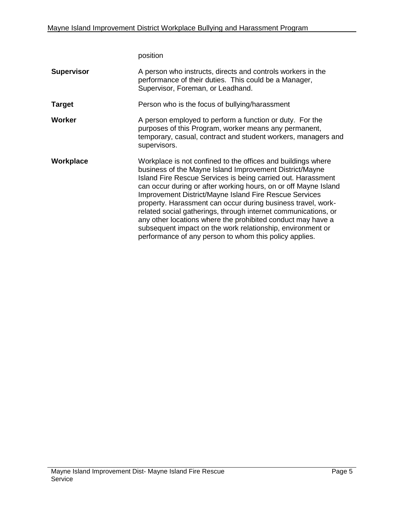|                   | position                                                                                                                                                                                                                                                                                                                                                                                                                                                                                                                                                                                                                                             |
|-------------------|------------------------------------------------------------------------------------------------------------------------------------------------------------------------------------------------------------------------------------------------------------------------------------------------------------------------------------------------------------------------------------------------------------------------------------------------------------------------------------------------------------------------------------------------------------------------------------------------------------------------------------------------------|
| <b>Supervisor</b> | A person who instructs, directs and controls workers in the<br>performance of their duties. This could be a Manager,<br>Supervisor, Foreman, or Leadhand.                                                                                                                                                                                                                                                                                                                                                                                                                                                                                            |
| <b>Target</b>     | Person who is the focus of bullying/harassment                                                                                                                                                                                                                                                                                                                                                                                                                                                                                                                                                                                                       |
| <b>Worker</b>     | A person employed to perform a function or duty. For the<br>purposes of this Program, worker means any permanent,<br>temporary, casual, contract and student workers, managers and<br>supervisors.                                                                                                                                                                                                                                                                                                                                                                                                                                                   |
| Workplace         | Workplace is not confined to the offices and buildings where<br>business of the Mayne Island Improvement District/Mayne<br>Island Fire Rescue Services is being carried out. Harassment<br>can occur during or after working hours, on or off Mayne Island<br><b>Improvement District/Mayne Island Fire Rescue Services</b><br>property. Harassment can occur during business travel, work-<br>related social gatherings, through internet communications, or<br>any other locations where the prohibited conduct may have a<br>subsequent impact on the work relationship, environment or<br>performance of any person to whom this policy applies. |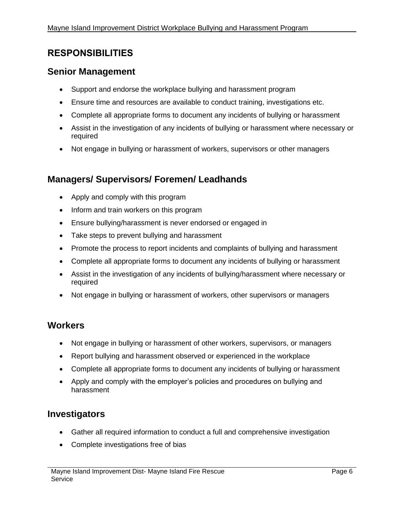## **RESPONSIBILITIES**

### **Senior Management**

- Support and endorse the workplace bullying and harassment program
- Ensure time and resources are available to conduct training, investigations etc.
- Complete all appropriate forms to document any incidents of bullying or harassment
- Assist in the investigation of any incidents of bullying or harassment where necessary or required
- Not engage in bullying or harassment of workers, supervisors or other managers

## **Managers/ Supervisors/ Foremen/ Leadhands**

- Apply and comply with this program
- Inform and train workers on this program
- Ensure bullying/harassment is never endorsed or engaged in
- Take steps to prevent bullying and harassment
- Promote the process to report incidents and complaints of bullying and harassment
- Complete all appropriate forms to document any incidents of bullying or harassment
- Assist in the investigation of any incidents of bullying/harassment where necessary or required
- Not engage in bullying or harassment of workers, other supervisors or managers

## **Workers**

- Not engage in bullying or harassment of other workers, supervisors, or managers
- Report bullying and harassment observed or experienced in the workplace
- Complete all appropriate forms to document any incidents of bullying or harassment
- Apply and comply with the employer's policies and procedures on bullying and harassment

## **Investigators**

- Gather all required information to conduct a full and comprehensive investigation
- Complete investigations free of bias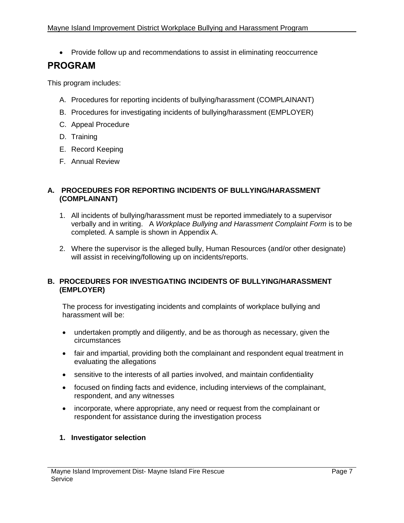• Provide follow up and recommendations to assist in eliminating reoccurrence

## **PROGRAM**

This program includes:

- A. Procedures for reporting incidents of bullying/harassment (COMPLAINANT)
- B. Procedures for investigating incidents of bullying/harassment (EMPLOYER)
- C. Appeal Procedure
- D. Training
- E. Record Keeping
- F. Annual Review

#### **A. PROCEDURES FOR REPORTING INCIDENTS OF BULLYING/HARASSMENT (COMPLAINANT)**

- 1. All incidents of bullying/harassment must be reported immediately to a supervisor verbally and in writing. A *Workplace Bullying and Harassment Complaint Form* is to be completed. A sample is shown in Appendix A.
- 2. Where the supervisor is the alleged bully, Human Resources (and/or other designate) will assist in receiving/following up on incidents/reports.

#### **B. PROCEDURES FOR INVESTIGATING INCIDENTS OF BULLYING/HARASSMENT (EMPLOYER)**

The process for investigating incidents and complaints of workplace bullying and harassment will be:

- undertaken promptly and diligently, and be as thorough as necessary, given the circumstances
- fair and impartial, providing both the complainant and respondent equal treatment in evaluating the allegations
- sensitive to the interests of all parties involved, and maintain confidentiality
- focused on finding facts and evidence, including interviews of the complainant, respondent, and any witnesses
- incorporate, where appropriate, any need or request from the complainant or respondent for assistance during the investigation process

#### **1. Investigator selection**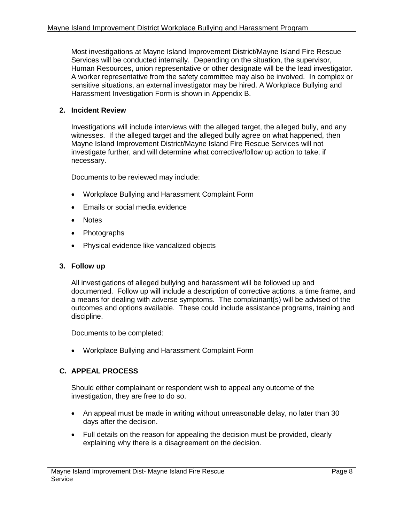Most investigations at Mayne Island Improvement District/Mayne Island Fire Rescue Services will be conducted internally. Depending on the situation, the supervisor, Human Resources, union representative or other designate will be the lead investigator. A worker representative from the safety committee may also be involved. In complex or sensitive situations, an external investigator may be hired. A Workplace Bullying and Harassment Investigation Form is shown in Appendix B.

#### **2. Incident Review**

Investigations will include interviews with the alleged target, the alleged bully, and any witnesses. If the alleged target and the alleged bully agree on what happened, then Mayne Island Improvement District/Mayne Island Fire Rescue Services will not investigate further, and will determine what corrective/follow up action to take, if necessary.

Documents to be reviewed may include:

- Workplace Bullying and Harassment Complaint Form
- Emails or social media evidence
- Notes
- Photographs
- Physical evidence like vandalized objects

#### **3. Follow up**

All investigations of alleged bullying and harassment will be followed up and documented. Follow up will include a description of corrective actions, a time frame, and a means for dealing with adverse symptoms. The complainant(s) will be advised of the outcomes and options available. These could include assistance programs, training and discipline.

Documents to be completed:

• Workplace Bullying and Harassment Complaint Form

#### **C. APPEAL PROCESS**

Should either complainant or respondent wish to appeal any outcome of the investigation, they are free to do so.

- An appeal must be made in writing without unreasonable delay, no later than 30 days after the decision.
- Full details on the reason for appealing the decision must be provided, clearly explaining why there is a disagreement on the decision.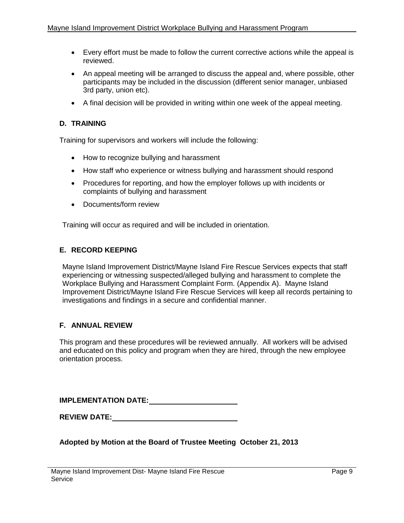- Every effort must be made to follow the current corrective actions while the appeal is reviewed.
- An appeal meeting will be arranged to discuss the appeal and, where possible, other participants may be included in the discussion (different senior manager, unbiased 3rd party, union etc).
- A final decision will be provided in writing within one week of the appeal meeting.

#### **D. TRAINING**

Training for supervisors and workers will include the following:

- How to recognize bullying and harassment
- How staff who experience or witness bullying and harassment should respond
- Procedures for reporting, and how the employer follows up with incidents or complaints of bullying and harassment
- Documents/form review

Training will occur as required and will be included in orientation.

#### **E. RECORD KEEPING**

Mayne Island Improvement District/Mayne Island Fire Rescue Services expects that staff experiencing or witnessing suspected/alleged bullying and harassment to complete the Workplace Bullying and Harassment Complaint Form. (Appendix A). Mayne Island Improvement District/Mayne Island Fire Rescue Services will keep all records pertaining to investigations and findings in a secure and confidential manner.

#### **F. ANNUAL REVIEW**

This program and these procedures will be reviewed annually. All workers will be advised and educated on this policy and program when they are hired, through the new employee orientation process.

**IMPLEMENTATION DATE:**

**REVIEW DATE:**

**Adopted by Motion at the Board of Trustee Meeting October 21, 2013**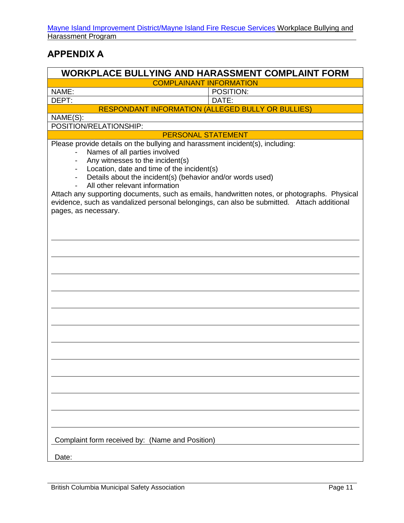## **APPENDIX A**

| <b>WORKPLACE BULLYING AND HARASSMENT COMPLAINT FORM</b>                                                                                                                                                                                                                                                                                                                                                                                                                                                                |           |  |  |
|------------------------------------------------------------------------------------------------------------------------------------------------------------------------------------------------------------------------------------------------------------------------------------------------------------------------------------------------------------------------------------------------------------------------------------------------------------------------------------------------------------------------|-----------|--|--|
| <b>COMPLAINANT INFORMATION</b>                                                                                                                                                                                                                                                                                                                                                                                                                                                                                         |           |  |  |
| NAME:                                                                                                                                                                                                                                                                                                                                                                                                                                                                                                                  | POSITION: |  |  |
| DEPT:                                                                                                                                                                                                                                                                                                                                                                                                                                                                                                                  | DATE:     |  |  |
| <b>RESPONDANT INFORMATION (ALLEGED BULLY OR BULLIES)</b>                                                                                                                                                                                                                                                                                                                                                                                                                                                               |           |  |  |
| NAME(S):                                                                                                                                                                                                                                                                                                                                                                                                                                                                                                               |           |  |  |
| POSITION/RELATIONSHIP:                                                                                                                                                                                                                                                                                                                                                                                                                                                                                                 |           |  |  |
| <b>PERSONAL STATEMENT</b>                                                                                                                                                                                                                                                                                                                                                                                                                                                                                              |           |  |  |
| Please provide details on the bullying and harassment incident(s), including:<br>Names of all parties involved<br>Any witnesses to the incident(s)<br>Location, date and time of the incident(s)<br>Details about the incident(s) (behavior and/or words used)<br>All other relevant information<br>Attach any supporting documents, such as emails, handwritten notes, or photographs. Physical<br>evidence, such as vandalized personal belongings, can also be submitted. Attach additional<br>pages, as necessary. |           |  |  |
|                                                                                                                                                                                                                                                                                                                                                                                                                                                                                                                        |           |  |  |
|                                                                                                                                                                                                                                                                                                                                                                                                                                                                                                                        |           |  |  |
|                                                                                                                                                                                                                                                                                                                                                                                                                                                                                                                        |           |  |  |
|                                                                                                                                                                                                                                                                                                                                                                                                                                                                                                                        |           |  |  |
|                                                                                                                                                                                                                                                                                                                                                                                                                                                                                                                        |           |  |  |
| Complaint form received by: (Name and Position)                                                                                                                                                                                                                                                                                                                                                                                                                                                                        |           |  |  |
| Date:                                                                                                                                                                                                                                                                                                                                                                                                                                                                                                                  |           |  |  |